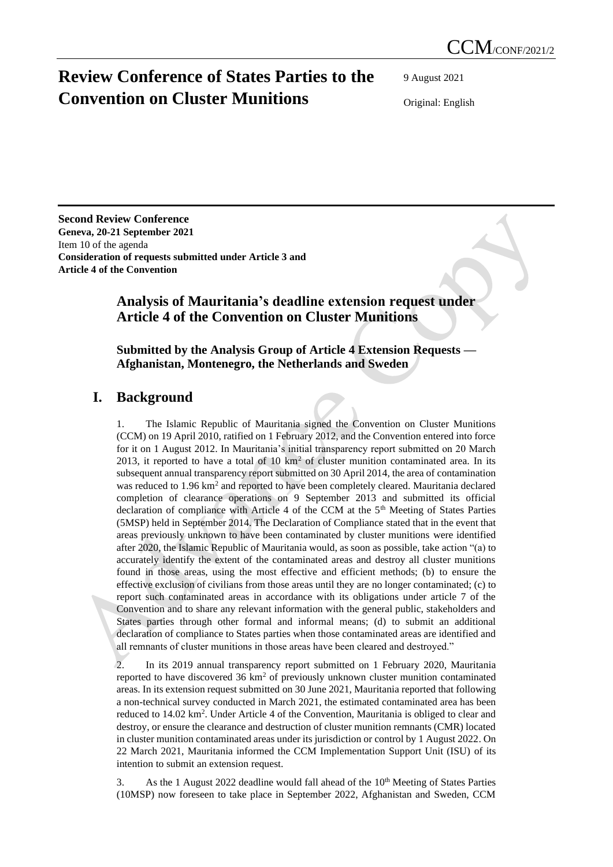# **Review Conference of States Parties to the Convention on Cluster Munitions**

9 August 2021

Original: English

**Second Review Conference Geneva, 20-21 September 2021** Item 10 of the agenda **Consideration of requests submitted under Article 3 and Article 4 of the Convention**

## **Analysis of Mauritania's deadline extension request under Article 4 of the Convention on Cluster Munitions**

**Submitted by the Analysis Group of Article 4 Extension Requests — Afghanistan, Montenegro, the Netherlands and Sweden**

### **I. Background**

1. The Islamic Republic of Mauritania signed the Convention on Cluster Munitions (CCM) on 19 April 2010, ratified on 1 February 2012, and the Convention entered into force for it on 1 August 2012. In Mauritania's initial transparency report submitted on 20 March 2013, it reported to have a total of 10  $km^2$  of cluster munition contaminated area. In its subsequent annual transparency report submitted on 30 April 2014, the area of contamination was reduced to 1.96 km<sup>2</sup> and reported to have been completely cleared. Mauritania declared completion of clearance operations on 9 September 2013 and submitted its official declaration of compliance with Article 4 of the CCM at the  $5<sup>th</sup>$  Meeting of States Parties (5MSP) held in September 2014. The Declaration of Compliance stated that in the event that areas previously unknown to have been contaminated by cluster munitions were identified after 2020, the Islamic Republic of Mauritania would, as soon as possible, take action "(a) to accurately identify the extent of the contaminated areas and destroy all cluster munitions found in those areas, using the most effective and efficient methods; (b) to ensure the effective exclusion of civilians from those areas until they are no longer contaminated; (c) to report such contaminated areas in accordance with its obligations under article 7 of the Convention and to share any relevant information with the general public, stakeholders and States parties through other formal and informal means; (d) to submit an additional declaration of compliance to States parties when those contaminated areas are identified and all remnants of cluster munitions in those areas have been cleared and destroyed."

2. In its 2019 annual transparency report submitted on 1 February 2020, Mauritania reported to have discovered  $36 \text{ km}^2$  of previously unknown cluster munition contaminated areas. In its extension request submitted on 30 June 2021, Mauritania reported that following a non-technical survey conducted in March 2021, the estimated contaminated area has been reduced to 14.02 km<sup>2</sup>. Under Article 4 of the Convention, Mauritania is obliged to clear and destroy, or ensure the clearance and destruction of cluster munition remnants (CMR) located in cluster munition contaminated areas under its jurisdiction or control by 1 August 2022. On 22 March 2021, Mauritania informed the CCM Implementation Support Unit (ISU) of its intention to submit an extension request.

3. As the 1 August 2022 deadline would fall ahead of the 10<sup>th</sup> Meeting of States Parties (10MSP) now foreseen to take place in September 2022, Afghanistan and Sweden, CCM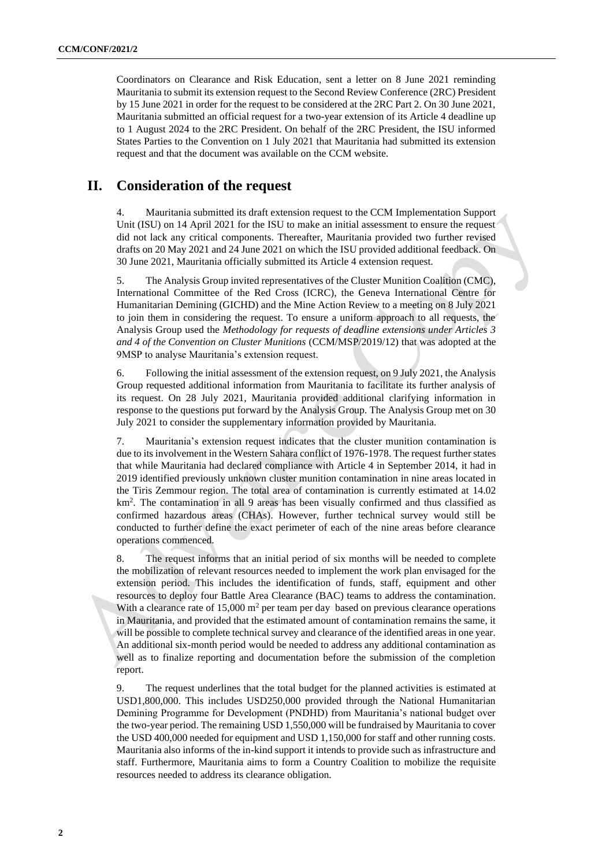Coordinators on Clearance and Risk Education, sent a letter on 8 June 2021 reminding Mauritania to submit its extension request to the Second Review Conference (2RC) President by 15 June 2021 in order for the request to be considered at the 2RC Part 2. On 30 June 2021, Mauritania submitted an official request for a two-year extension of its Article 4 deadline up to 1 August 2024 to the 2RC President. On behalf of the 2RC President, the ISU informed States Parties to the Convention on 1 July 2021 that Mauritania had submitted its extension request and that the document was available on the CCM website.

### **II. Consideration of the request**

4. Mauritania submitted its draft extension request to the CCM Implementation Support Unit (ISU) on 14 April 2021 for the ISU to make an initial assessment to ensure the request did not lack any critical components. Thereafter, Mauritania provided two further revised drafts on 20 May 2021 and 24 June 2021 on which the ISU provided additional feedback. On 30 June 2021, Mauritania officially submitted its Article 4 extension request.

5. The Analysis Group invited representatives of the Cluster Munition Coalition (CMC), International Committee of the Red Cross (ICRC), the Geneva International Centre for Humanitarian Demining (GICHD) and the Mine Action Review to a meeting on 8 July 2021 to join them in considering the request. To ensure a uniform approach to all requests, the Analysis Group used the *Methodology for requests of deadline extensions under Articles 3 and 4 of the Convention on Cluster Munitions* (CCM/MSP/2019/12) that was adopted at the 9MSP to analyse Mauritania's extension request.

6. Following the initial assessment of the extension request, on 9 July 2021, the Analysis Group requested additional information from Mauritania to facilitate its further analysis of its request. On 28 July 2021, Mauritania provided additional clarifying information in response to the questions put forward by the Analysis Group. The Analysis Group met on 30 July 2021 to consider the supplementary information provided by Mauritania.

7. Mauritania's extension request indicates that the cluster munition contamination is due to its involvement in the Western Sahara conflict of 1976-1978. The request further states that while Mauritania had declared compliance with Article 4 in September 2014, it had in 2019 identified previously unknown cluster munition contamination in nine areas located in the Tiris Zemmour region. The total area of contamination is currently estimated at 14.02  $km<sup>2</sup>$ . The contamination in all 9 areas has been visually confirmed and thus classified as confirmed hazardous areas (CHAs). However, further technical survey would still be conducted to further define the exact perimeter of each of the nine areas before clearance operations commenced.

8. The request informs that an initial period of six months will be needed to complete the mobilization of relevant resources needed to implement the work plan envisaged for the extension period. This includes the identification of funds, staff, equipment and other resources to deploy four Battle Area Clearance (BAC) teams to address the contamination. With a clearance rate of  $15,000 \text{ m}^2$  per team per day based on previous clearance operations in Mauritania, and provided that the estimated amount of contamination remains the same, it will be possible to complete technical survey and clearance of the identified areas in one year. An additional six-month period would be needed to address any additional contamination as well as to finalize reporting and documentation before the submission of the completion report.

9. The request underlines that the total budget for the planned activities is estimated at USD1,800,000. This includes USD250,000 provided through the National Humanitarian Demining Programme for Development (PNDHD) from Mauritania's national budget over the two-year period. The remaining USD 1,550,000 will be fundraised by Mauritania to cover the USD 400,000 needed for equipment and USD 1,150,000 for staff and other running costs. Mauritania also informs of the in-kind support it intends to provide such as infrastructure and staff. Furthermore, Mauritania aims to form a Country Coalition to mobilize the requisite resources needed to address its clearance obligation.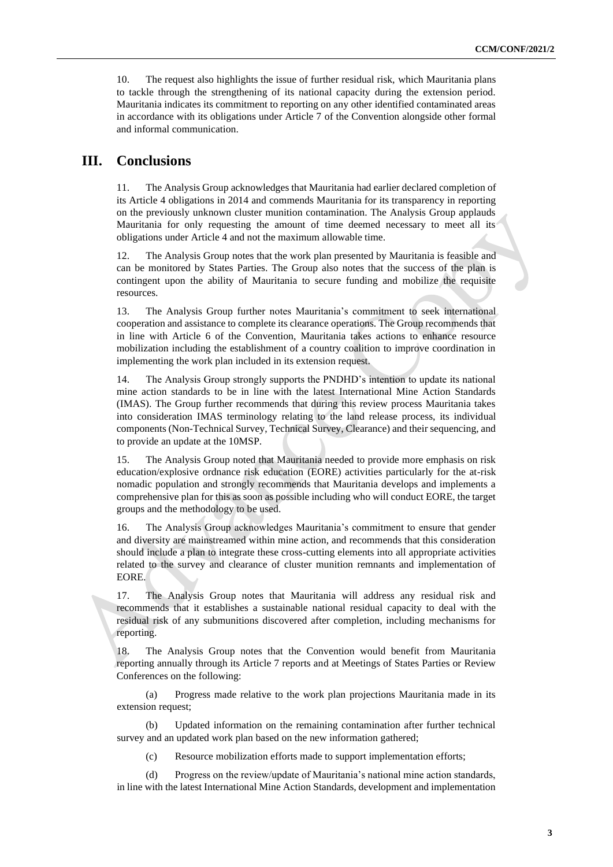10. The request also highlights the issue of further residual risk, which Mauritania plans to tackle through the strengthening of its national capacity during the extension period. Mauritania indicates its commitment to reporting on any other identified contaminated areas in accordance with its obligations under Article 7 of the Convention alongside other formal and informal communication.

#### **III. Conclusions**

11. The Analysis Group acknowledges that Mauritania had earlier declared completion of its Article 4 obligations in 2014 and commends Mauritania for its transparency in reporting on the previously unknown cluster munition contamination. The Analysis Group applauds Mauritania for only requesting the amount of time deemed necessary to meet all its obligations under Article 4 and not the maximum allowable time.

12. The Analysis Group notes that the work plan presented by Mauritania is feasible and can be monitored by States Parties. The Group also notes that the success of the plan is contingent upon the ability of Mauritania to secure funding and mobilize the requisite resources.

13. The Analysis Group further notes Mauritania's commitment to seek international cooperation and assistance to complete its clearance operations. The Group recommends that in line with Article 6 of the Convention, Mauritania takes actions to enhance resource mobilization including the establishment of a country coalition to improve coordination in implementing the work plan included in its extension request.

14. The Analysis Group strongly supports the PNDHD's intention to update its national mine action standards to be in line with the latest International Mine Action Standards (IMAS). The Group further recommends that during this review process Mauritania takes into consideration IMAS terminology relating to the land release process, its individual components (Non-Technical Survey, Technical Survey, Clearance) and their sequencing, and to provide an update at the 10MSP.

15. The Analysis Group noted that Mauritania needed to provide more emphasis on risk education/explosive ordnance risk education (EORE) activities particularly for the at-risk nomadic population and strongly recommends that Mauritania develops and implements a comprehensive plan for this as soon as possible including who will conduct EORE, the target groups and the methodology to be used.

16. The Analysis Group acknowledges Mauritania's commitment to ensure that gender and diversity are mainstreamed within mine action, and recommends that this consideration should include a plan to integrate these cross-cutting elements into all appropriate activities related to the survey and clearance of cluster munition remnants and implementation of EORE.

17. The Analysis Group notes that Mauritania will address any residual risk and recommends that it establishes a sustainable national residual capacity to deal with the residual risk of any submunitions discovered after completion, including mechanisms for reporting.

18. The Analysis Group notes that the Convention would benefit from Mauritania reporting annually through its Article 7 reports and at Meetings of States Parties or Review Conferences on the following:

(a) Progress made relative to the work plan projections Mauritania made in its extension request;

(b) Updated information on the remaining contamination after further technical survey and an updated work plan based on the new information gathered;

(c) Resource mobilization efforts made to support implementation efforts;

(d) Progress on the review/update of Mauritania's national mine action standards, in line with the latest International Mine Action Standards, development and implementation